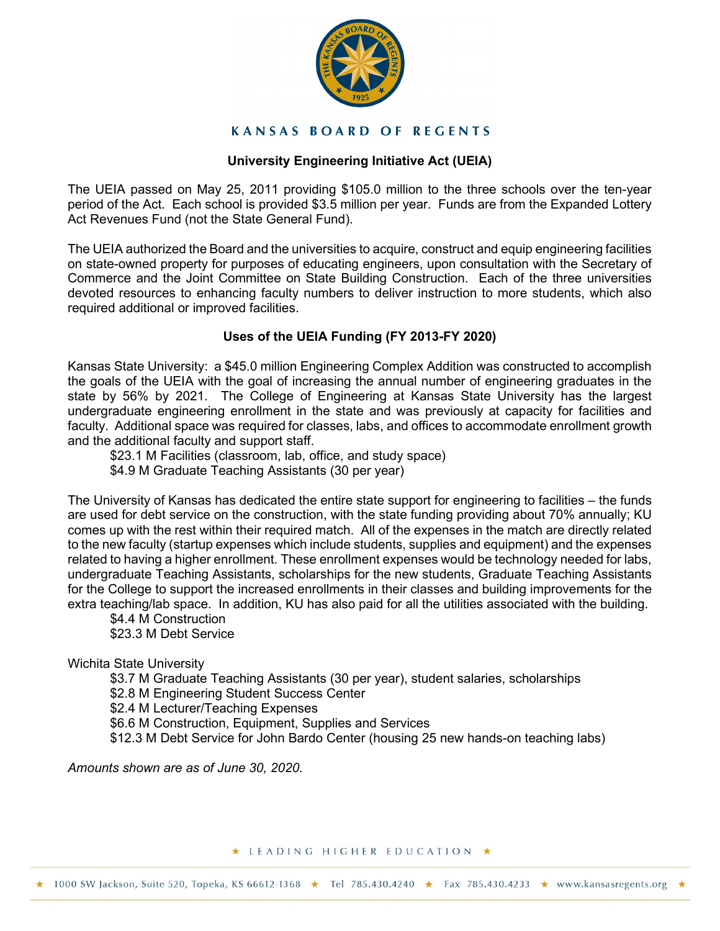

## **KANSAS BOARD OF REGENTS**

# **University Engineering Initiative Act (UEIA)**

The UEIA passed on May 25, 2011 providing \$105.0 million to the three schools over the ten-year period of the Act. Each school is provided \$3.5 million per year. Funds are from the Expanded Lottery Act Revenues Fund (not the State General Fund).

The UEIA authorized the Board and the universities to acquire, construct and equip engineering facilities on state-owned property for purposes of educating engineers, upon consultation with the Secretary of Commerce and the Joint Committee on State Building Construction. Each of the three universities devoted resources to enhancing faculty numbers to deliver instruction to more students, which also required additional or improved facilities.

# **Uses of the UEIA Funding (FY 2013-FY 2020)**

Kansas State University: a \$45.0 million Engineering Complex Addition was constructed to accomplish the goals of the UEIA with the goal of increasing the annual number of engineering graduates in the state by 56% by 2021. The College of Engineering at Kansas State University has the largest undergraduate engineering enrollment in the state and was previously at capacity for facilities and faculty. Additional space was required for classes, labs, and offices to accommodate enrollment growth and the additional faculty and support staff.

\$23.1 M Facilities (classroom, lab, office, and study space)

\$4.9 M Graduate Teaching Assistants (30 per year)

The University of Kansas has dedicated the entire state support for engineering to facilities – the funds are used for debt service on the construction, with the state funding providing about 70% annually; KU comes up with the rest within their required match. All of the expenses in the match are directly related to the new faculty (startup expenses which include students, supplies and equipment) and the expenses related to having a higher enrollment. These enrollment expenses would be technology needed for labs, undergraduate Teaching Assistants, scholarships for the new students, Graduate Teaching Assistants for the College to support the increased enrollments in their classes and building improvements for the extra teaching/lab space. In addition, KU has also paid for all the utilities associated with the building.

\$4.4 M Construction \$23.3 M Debt Service

Wichita State University

\$3.7 M Graduate Teaching Assistants (30 per year), student salaries, scholarships

\$2.8 M Engineering Student Success Center

\$2.4 M Lecturer/Teaching Expenses

\$6.6 M Construction, Equipment, Supplies and Services

\$12.3 M Debt Service for John Bardo Center (housing 25 new hands-on teaching labs)

*Amounts shown are as of June 30, 2020.*

#### ★ LEADING HIGHER EDUCATION ★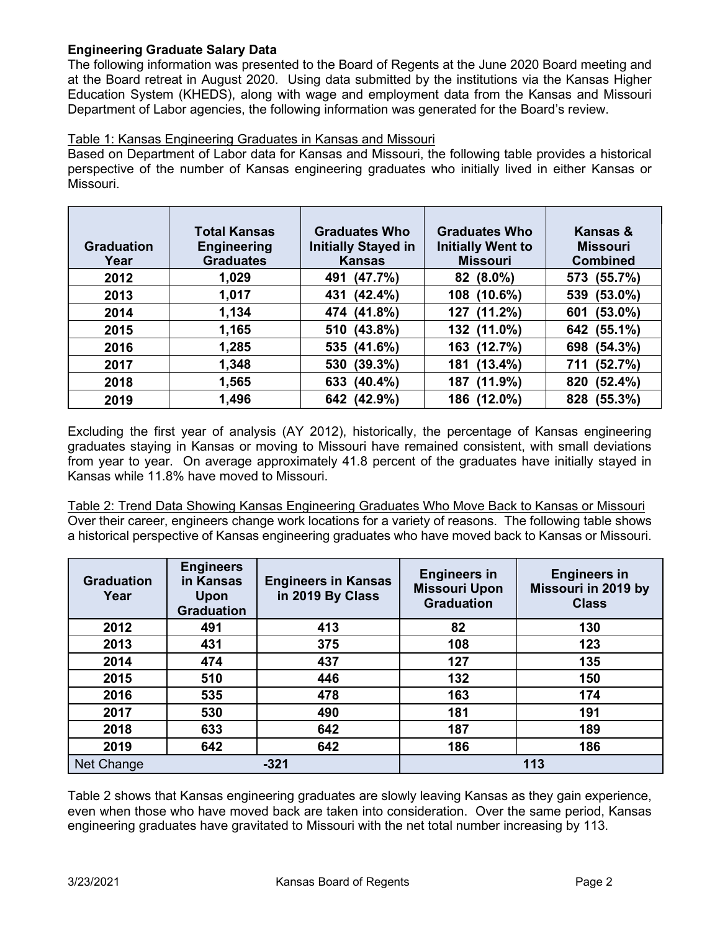# **Engineering Graduate Salary Data**

The following information was presented to the Board of Regents at the June 2020 Board meeting and at the Board retreat in August 2020. Using data submitted by the institutions via the Kansas Higher Education System (KHEDS), along with wage and employment data from the Kansas and Missouri Department of Labor agencies, the following information was generated for the Board's review.

## Table 1: Kansas Engineering Graduates in Kansas and Missouri

Based on Department of Labor data for Kansas and Missouri, the following table provides a historical perspective of the number of Kansas engineering graduates who initially lived in either Kansas or Missouri.

| <b>Graduation</b><br>Year | <b>Total Kansas</b><br><b>Engineering</b><br><b>Graduates</b> | <b>Graduates Who</b><br><b>Initially Stayed in</b><br><b>Kansas</b> | <b>Graduates Who</b><br><b>Initially Went to</b><br><b>Missouri</b> | Kansas &<br><b>Missouri</b><br><b>Combined</b> |  |
|---------------------------|---------------------------------------------------------------|---------------------------------------------------------------------|---------------------------------------------------------------------|------------------------------------------------|--|
| 2012                      | 1,029                                                         | 491 (47.7%)                                                         | $82(8.0\%)$                                                         | 573 (55.7%)                                    |  |
| 2013                      | 1,017                                                         | 431 (42.4%)                                                         | 108 (10.6%)                                                         | 539 (53.0%)                                    |  |
| 2014                      | 1,134                                                         | 474 (41.8%)                                                         | $(11.2\%)$<br>127                                                   | $(53.0\%)$<br>601                              |  |
| 2015                      | 1,165                                                         | 510 (43.8%)                                                         | 132 (11.0%)                                                         | 642 (55.1%)                                    |  |
| 2016                      | 1,285                                                         | 535 (41.6%)                                                         | 163 (12.7%)                                                         | 698 (54.3%)                                    |  |
| 2017                      | 1,348                                                         | 530 (39.3%)                                                         | $(13.4\%)$<br>181                                                   | 711 (52.7%)                                    |  |
| 2018                      | 1,565                                                         | 633 (40.4%)                                                         | $(11.9\%)$<br>187                                                   | (52.4%)<br>820                                 |  |
| 2019                      | 1,496                                                         | 642 (42.9%)                                                         | 186 (12.0%)                                                         | (55.3%)<br>828                                 |  |

Excluding the first year of analysis (AY 2012), historically, the percentage of Kansas engineering graduates staying in Kansas or moving to Missouri have remained consistent, with small deviations from year to year. On average approximately 41.8 percent of the graduates have initially stayed in Kansas while 11.8% have moved to Missouri.

Table 2: Trend Data Showing Kansas Engineering Graduates Who Move Back to Kansas or Missouri Over their career, engineers change work locations for a variety of reasons. The following table shows a historical perspective of Kansas engineering graduates who have moved back to Kansas or Missouri.

| <b>Graduation</b><br>Year | <b>Engineers</b><br>in Kansas<br>Upon<br><b>Graduation</b> | <b>Engineers in Kansas</b><br>in 2019 By Class | <b>Engineers in</b><br><b>Missouri Upon</b><br><b>Graduation</b> | <b>Engineers in</b><br>Missouri in 2019 by<br><b>Class</b> |  |  |
|---------------------------|------------------------------------------------------------|------------------------------------------------|------------------------------------------------------------------|------------------------------------------------------------|--|--|
| 2012                      | 491                                                        | 413                                            | 82                                                               | 130                                                        |  |  |
| 2013                      | 431                                                        | 375                                            | 108                                                              | 123                                                        |  |  |
| 2014                      | 474                                                        | 437                                            | 127                                                              | 135                                                        |  |  |
| 2015                      | 510                                                        | 446                                            | 132                                                              | 150                                                        |  |  |
| 2016                      | 535                                                        | 478                                            | 163                                                              | 174                                                        |  |  |
| 2017                      | 530                                                        | 490                                            | 181                                                              | 191                                                        |  |  |
| 2018                      | 633                                                        | 642                                            | 187                                                              | 189                                                        |  |  |
| 2019                      | 642                                                        | 642                                            | 186                                                              | 186                                                        |  |  |
| Net Change                |                                                            | $-321$                                         |                                                                  | 113                                                        |  |  |

Table 2 shows that Kansas engineering graduates are slowly leaving Kansas as they gain experience, even when those who have moved back are taken into consideration. Over the same period, Kansas engineering graduates have gravitated to Missouri with the net total number increasing by 113.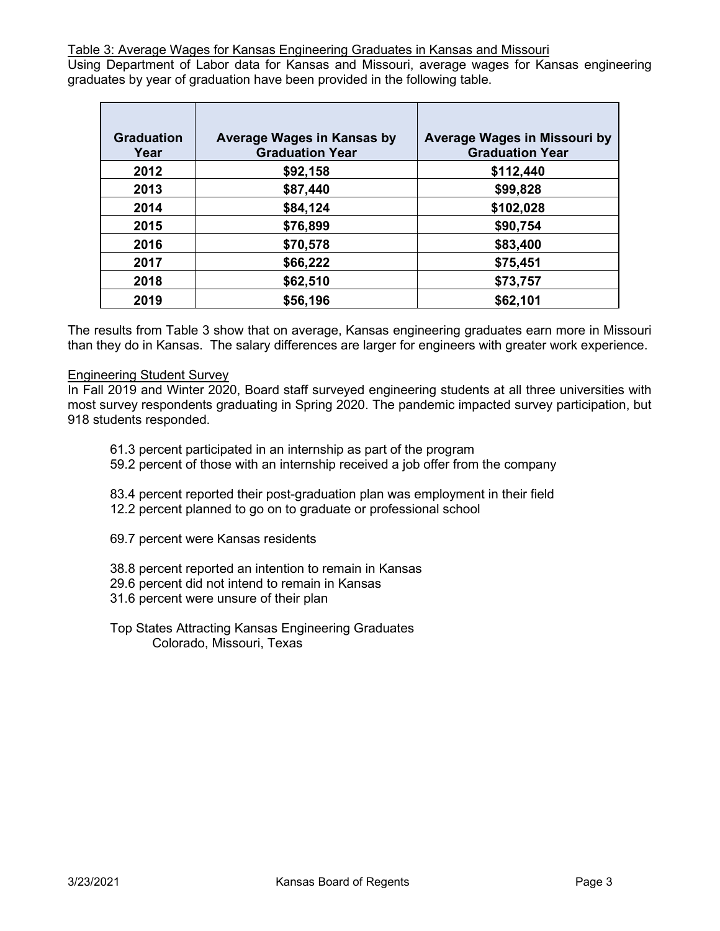Table 3: Average Wages for Kansas Engineering Graduates in Kansas and Missouri

Using Department of Labor data for Kansas and Missouri, average wages for Kansas engineering graduates by year of graduation have been provided in the following table.

| <b>Graduation</b> | Average Wages in Kansas by | Average Wages in Missouri by |
|-------------------|----------------------------|------------------------------|
| Year              | <b>Graduation Year</b>     | <b>Graduation Year</b>       |
| 2012              | \$92,158                   | \$112,440                    |
| 2013              | \$87,440                   | \$99,828                     |
| 2014              | \$84,124                   | \$102,028                    |
| 2015              | \$76,899                   | \$90,754                     |
| 2016              | \$70,578                   | \$83,400                     |
| 2017              | \$66,222                   | \$75,451                     |
| 2018              | \$62,510                   | \$73,757                     |
| 2019              | \$56,196                   | \$62,101                     |

The results from Table 3 show that on average, Kansas engineering graduates earn more in Missouri than they do in Kansas. The salary differences are larger for engineers with greater work experience.

#### Engineering Student Survey

In Fall 2019 and Winter 2020, Board staff surveyed engineering students at all three universities with most survey respondents graduating in Spring 2020. The pandemic impacted survey participation, but 918 students responded.

- 61.3 percent participated in an internship as part of the program
- 59.2 percent of those with an internship received a job offer from the company

83.4 percent reported their post-graduation plan was employment in their field 12.2 percent planned to go on to graduate or professional school

- 69.7 percent were Kansas residents
- 38.8 percent reported an intention to remain in Kansas
- 29.6 percent did not intend to remain in Kansas
- 31.6 percent were unsure of their plan
- Top States Attracting Kansas Engineering Graduates Colorado, Missouri, Texas